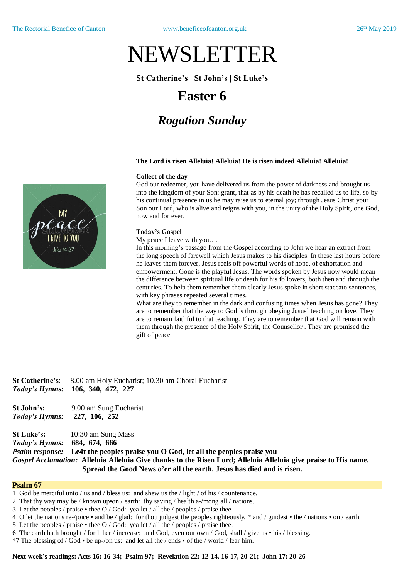# NEWSLETTER

#### **St Catherine's | St John's | St Luke's**

# **Easter 6**

# *Rogation Sunday*

#### **The Lord is risen Alleluia! Alleluia! He is risen indeed Alleluia! Alleluia!**

#### **Collect of the day**

God our redeemer, you have delivered us from the power of darkness and brought us into the kingdom of your Son: grant, that as by his death he has recalled us to life, so by his continual presence in us he may raise us to eternal joy; through Jesus Christ your Son our Lord, who is alive and reigns with you, in the unity of the Holy Spirit, one God, now and for ever.

#### **Today's Gospel**

My peace I leave with you….

In this morning's passage from the Gospel according to John we hear an extract from the long speech of farewell which Jesus makes to his disciples. In these last hours before he leaves them forever, Jesus reels off powerful words of hope, of exhortation and empowerment. Gone is the playful Jesus. The words spoken by Jesus now would mean the difference between spiritual life or death for his followers, both then and through the centuries. To help them remember them clearly Jesus spoke in short staccato sentences, with key phrases repeated several times.

What are they to remember in the dark and confusing times when Jesus has gone? They are to remember that the way to God is through obeying Jesus' teaching on love. They are to remain faithful to that teaching. They are to remember that God will remain with them through the presence of the Holy Spirit, the Counsellor . They are promised the gift of peace

**St Catherine's**: 8.00 am Holy Eucharist; 10.30 am Choral Eucharist *Today's Hymns:* **106, 340, 472, 227 St John's:** 9.00 am Sung Eucharist *Today's Hymns:* **227, 106, 252 St Luke's:** 10:30 am Sung Mass *Today's Hymns:* **684, 674, 666**

*Psalm response:* **Le4t the peoples praise you O God, let all the peoples praise you** Gospel Acclamation: Alleluia Alleluia Give thanks to the Risen Lord; Alleluia Alleluia give praise to His name. **Spread the Good News o'er all the earth. Jesus has died and is risen.**

#### **Psalm 67**

- 1 God be merciful unto / us and / bless us: and shew us the / light / of his / countenance,
- 2 That thy way may be / known up•on / earth: thy saving / health a-/mong all / nations.
- 3 Let the peoples / praise thee O / God: yea let / all the / peoples / praise thee.
- 4 O let the nations re-/joice and be / glad: for thou judgest the peoples righteously, \* and / guidest the / nations on / earth.
- 5 Let the peoples / praise thee O / God: yea let / all the / peoples / praise thee.
- 6 The earth hath brought / forth her / increase: and God, even our own / God, shall / give us his / blessing.
- †7 The blessing of / God be up-/on us: and let all the / ends of the / world / fear him.